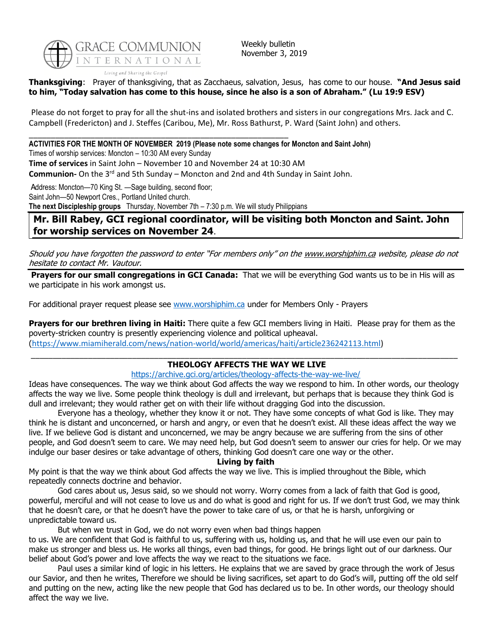

Weekly bulletin November 3, 2019

**Thanksgiving**: Prayer of thanksgiving, that as Zacchaeus, salvation, Jesus, has come to our house. **"And Jesus said to him, "Today salvation has come to this house, since he also is a son of Abraham." (Lu 19:9 ESV)**

Please do not forget to pray for all the shut-ins and isolated brothers and sisters in our congregations Mrs. Jack and C. Campbell (Fredericton) and J. Steffes (Caribou, Me), Mr. Ross Bathurst, P. Ward (Saint John) and others.

\_\_\_\_\_\_\_\_\_\_\_\_\_\_\_\_\_\_\_\_\_\_\_\_\_\_\_\_\_\_\_\_\_\_\_\_\_\_\_\_\_\_\_\_\_\_\_\_\_\_\_\_\_\_\_\_\_\_\_ **ACTIVITIES FOR THE MONTH OF NOVEMBER 2019 (Please note some changes for Moncton and Saint John)**

Times of worship services: Moncton – 10:30 AM every Sunday

**Time of services** in Saint John – November 10 and November 24 at 10:30 AM

Communion- On the 3<sup>rd</sup> and 5th Sunday – Moncton and 2nd and 4th Sunday in Saint John.

Address: Moncton—70 King St. —Sage building, second floor; Saint John—50 Newport Cres., Portland United church. **The next Discipleship groups** Thursday, November 7th – 7:30 p.m. We will study Philippians

## **Mr. Bill Rabey, GCI regional coordinator, will be visiting both Moncton and Saint. John for worship services on November 24**.

Should you have forgotten the password to enter "For members only" on the [www.worshiphim.ca](http://www.worshiphim.ca/) website, please do not hesitate to contact Mr. Vautour.

**Prayers for our small congregations in GCI Canada:** That we will be everything God wants us to be in His will as we participate in his work amongst us.

For additional prayer request please see [www.worshiphim.ca](http://www.worshiphim.ca/) under for Members Only - Prayers

**Prayers for our brethren living in Haiti:** There quite a few GCI members living in Haiti. Please pray for them as the poverty-stricken country is presently experiencing violence and political upheaval. ([https://www.miamiherald.com/news/nation-world/world/americas/haiti/article236242113.html\)](https://www.miamiherald.com/news/nation-world/world/americas/haiti/article236242113.html)

#### \_\_\_\_\_\_\_\_\_\_\_\_\_\_\_\_\_\_\_\_\_\_\_\_\_\_\_\_\_\_\_\_\_\_\_\_\_\_\_\_\_\_\_\_\_\_\_\_\_\_\_\_\_\_\_\_\_\_\_\_\_\_\_\_\_\_\_\_\_\_\_\_\_\_\_\_\_\_\_\_\_\_\_\_\_\_\_\_\_\_\_\_\_\_\_\_\_ **THEOLOGY AFFECTS THE WAY WE LIVE**

### <https://archive.gci.org/articles/theology-affects-the-way-we-live/>

Ideas have consequences. The way we think about God affects the way we respond to him. In other words, our theology affects the way we live. Some people think theology is dull and irrelevant, but perhaps that is because they think God is dull and irrelevant; they would rather get on with their life without dragging God into the discussion.

Everyone has a theology, whether they know it or not. They have some concepts of what God is like. They may think he is distant and unconcerned, or harsh and angry, or even that he doesn't exist. All these ideas affect the way we live. If we believe God is distant and unconcerned, we may be angry because we are suffering from the sins of other people, and God doesn't seem to care. We may need help, but God doesn't seem to answer our cries for help. Or we may indulge our baser desires or take advantage of others, thinking God doesn't care one way or the other.

#### **Living by faith**

My point is that the way we think about God affects the way we live. This is implied throughout the Bible, which repeatedly connects doctrine and behavior.

God cares about us, Jesus said, so we should not worry. Worry comes from a lack of faith that God is good, powerful, merciful and will not cease to love us and do what is good and right for us. If we don't trust God, we may think that he doesn't care, or that he doesn't have the power to take care of us, or that he is harsh, unforgiving or unpredictable toward us.

But when we trust in God, we do not worry even when bad things happen

to us. We are confident that God is faithful to us, suffering with us, holding us, and that he will use even our pain to make us stronger and bless us. He works all things, even bad things, for good. He brings light out of our darkness. Our belief about God's power and love affects the way we react to the situations we face.

Paul uses a similar kind of logic in his letters. He explains that we are saved by grace through the work of Jesus our Savior, and then he writes, Therefore we should be living sacrifices, set apart to do God's will, putting off the old self and putting on the new, acting like the new people that God has declared us to be. In other words, our theology should affect the way we live.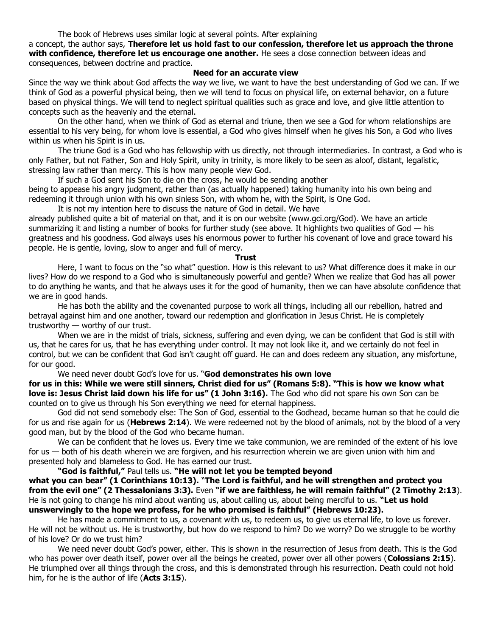a concept, the author says, **Therefore let us hold fast to our confession, therefore let us approach the throne with confidence, therefore let us encourage one another.** He sees a close connection between ideas and consequences, between doctrine and practice.

#### **Need for an accurate view**

Since the way we think about God affects the way we live, we want to have the best understanding of God we can. If we think of God as a powerful physical being, then we will tend to focus on physical life, on external behavior, on a future based on physical things. We will tend to neglect spiritual qualities such as grace and love, and give little attention to concepts such as the heavenly and the eternal.

On the other hand, when we think of God as eternal and triune, then we see a God for whom relationships are essential to his very being, for whom love is essential, a God who gives himself when he gives his Son, a God who lives within us when his Spirit is in us.

The triune God is a God who has fellowship with us directly, not through intermediaries. In contrast, a God who is only Father, but not Father, Son and Holy Spirit, unity in trinity, is more likely to be seen as aloof, distant, legalistic, stressing law rather than mercy. This is how many people view God.

If such a God sent his Son to die on the cross, he would be sending another being to appease his angry judgment, rather than (as actually happened) taking humanity into his own being and redeeming it through union with his own sinless Son, with whom he, with the Spirit, is One God.

It is not my intention here to discuss the nature of God in detail. We have

already published quite a bit of material on that, and it is on our website (www.gci.org/God). We have an article summarizing it and listing a number of books for further study (see above. It highlights two qualities of God  $-$  his greatness and his goodness. God always uses his enormous power to further his covenant of love and grace toward his people. He is gentle, loving, slow to anger and full of mercy.

#### **Trust**

Here, I want to focus on the "so what" question. How is this relevant to us? What difference does it make in our lives? How do we respond to a God who is simultaneously powerful and gentle? When we realize that God has all power to do anything he wants, and that he always uses it for the good of humanity, then we can have absolute confidence that we are in good hands.

He has both the ability and the covenanted purpose to work all things, including all our rebellion, hatred and betrayal against him and one another, toward our redemption and glorification in Jesus Christ. He is completely trustworthy — worthy of our trust.

When we are in the midst of trials, sickness, suffering and even dying, we can be confident that God is still with us, that he cares for us, that he has everything under control. It may not look like it, and we certainly do not feel in control, but we can be confident that God isn't caught off guard. He can and does redeem any situation, any misfortune, for our good.

#### We need never doubt God's love for us. "**God demonstrates his own love**

**for us in this: While we were still sinners, Christ died for us" (Romans 5:8). "This is how we know what love is: Jesus Christ laid down his life for us" (1 John 3:16).** The God who did not spare his own Son can be counted on to give us through his Son everything we need for eternal happiness.

God did not send somebody else: The Son of God, essential to the Godhead, became human so that he could die for us and rise again for us (**Hebrews 2:14**). We were redeemed not by the blood of animals, not by the blood of a very good man, but by the blood of the God who became human.

We can be confident that he loves us. Every time we take communion, we are reminded of the extent of his love for us — both of his death wherein we are forgiven, and his resurrection wherein we are given union with him and presented holy and blameless to God. He has earned our trust.

**"God is faithful,"** Paul tells us. **"He will not let you be tempted beyond what you can bear" (1 Corinthians 10:13).** "**The Lord is faithful, and he will strengthen and protect you from the evil one" (2 Thessalonians 3:3).** Even **"if we are faithless, he will remain faithful" (2 Timothy 2:13**). He is not going to change his mind about wanting us, about calling us, about being merciful to us. **"Let us hold unswervingly to the hope we profess, for he who promised is faithful" (Hebrews 10:23).** 

He has made a commitment to us, a covenant with us, to redeem us, to give us eternal life, to love us forever. He will not be without us. He is trustworthy, but how do we respond to him? Do we worry? Do we struggle to be worthy of his love? Or do we trust him?

We need never doubt God's power, either. This is shown in the resurrection of Jesus from death. This is the God who has power over death itself, power over all the beings he created, power over all other powers (**Colossians 2:15**). He triumphed over all things through the cross, and this is demonstrated through his resurrection. Death could not hold him, for he is the author of life (**Acts 3:15**).